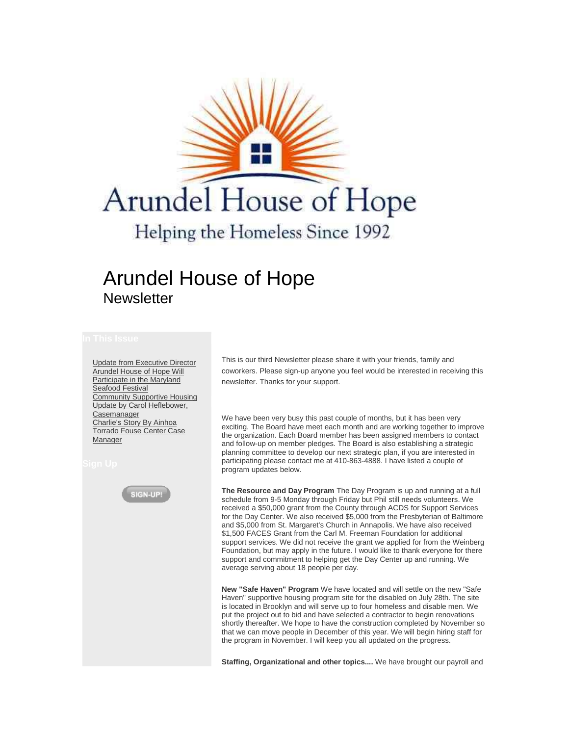

## Arundel House of Hope **Newsletter**

[Update from Executive Director](https://ui.constantcontact.com/templates/previewer.jsp?agent.uid=1101351600902#article1) [Arundel House of Hope Will](https://ui.constantcontact.com/templates/previewer.jsp?agent.uid=1101351600902#article2)  [Participate in the Maryland](https://ui.constantcontact.com/templates/previewer.jsp?agent.uid=1101351600902#article2)  [Seafood Festival](https://ui.constantcontact.com/templates/previewer.jsp?agent.uid=1101351600902#article2) [Community Supportive Housing](https://ui.constantcontact.com/templates/previewer.jsp?agent.uid=1101351600902#article3)  [Update by Carol Heflebower,](https://ui.constantcontact.com/templates/previewer.jsp?agent.uid=1101351600902#article3)  **[Casemanager](https://ui.constantcontact.com/templates/previewer.jsp?agent.uid=1101351600902#article3)** [Charlie's Story By Ainhoa](https://ui.constantcontact.com/templates/previewer.jsp?agent.uid=1101351600902#article4)  [Torrado Fouse Center Case](https://ui.constantcontact.com/templates/previewer.jsp?agent.uid=1101351600902#article4)  [Manager](https://ui.constantcontact.com/templates/previewer.jsp?agent.uid=1101351600902#article4)



This is our third Newsletter please share it with your friends, family and coworkers. Please sign-up anyone you feel would be interested in receiving this newsletter. Thanks for your support.

We have been very busy this past couple of months, but it has been very exciting. The Board have meet each month and are working together to improve the organization. Each Board member has been assigned members to contact and follow-up on member pledges. The Board is also establishing a strategic planning committee to develop our next strategic plan, if you are interested in participating please contact me at 410-863-4888. I have listed a couple of program updates below.

**The Resource and Day Program** The Day Program is up and running at a full schedule from 9-5 Monday through Friday but Phil still needs volunteers. We received a \$50,000 grant from the County through ACDS for Support Services for the Day Center. We also received \$5,000 from the Presbyterian of Baltimore and \$5,000 from St. Margaret's Church in Annapolis. We have also received \$1,500 FACES Grant from the Carl M. Freeman Foundation for additional support services. We did not receive the grant we applied for from the Weinberg Foundation, but may apply in the future. I would like to thank everyone for there support and commitment to helping get the Day Center up and running. We average serving about 18 people per day.

**New "Safe Haven" Program** We have located and will settle on the new "Safe Haven" supportive housing program site for the disabled on July 28th. The site is located in Brooklyn and will serve up to four homeless and disable men. We put the project out to bid and have selected a contractor to begin renovations shortly thereafter. We hope to have the construction completed by November so that we can move people in December of this year. We will begin hiring staff for the program in November. I will keep you all updated on the progress.

**Staffing, Organizational and other topics....** We have brought our payroll and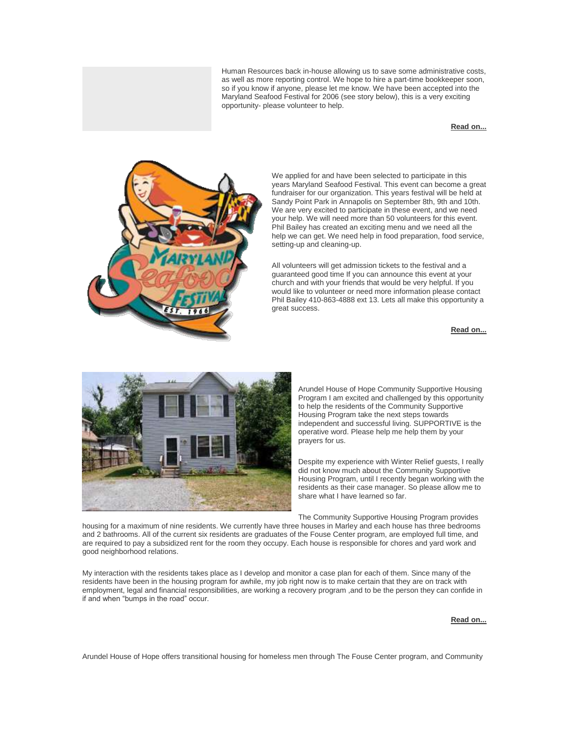Human Resources back in-house allowing us to save some administrative costs, as well as more reporting control. We hope to hire a part-time bookkeeper soon, so if you know if anyone, please let me know. We have been accepted into the Maryland Seafood Festival for 2006 (see story below), this is a very exciting opportunity- please volunteer to help.

## **[Read on...](http://r20.rs6.net/tn.jsp?llr=ephtatbab&et=1101351600902&s=0&e=001OjPbXQq-IlElZnEC8h46qbWwJQtnP_HstVf5vmRYdpj0CHbrtKNk8k4JUugrNKMZUMRiDRJBM9gNyC7zJqZXfq2tGNHxRUlAi9eqZMsyEd8BoA3vLh6I0Q==)**



We applied for and have been selected to participate in this years Maryland Seafood Festival. This event can become a great fundraiser for our organization. This years festival will be held at Sandy Point Park in Annapolis on September 8th, 9th and 10th. We are very excited to participate in these event, and we need your help. We will need more than 50 volunteers for this event. Phil Bailey has created an exciting menu and we need all the help we can get. We need help in food preparation, food service, setting-up and cleaning-up.

All volunteers will get admission tickets to the festival and a guaranteed good time If you can announce this event at your church and with your friends that would be very helpful. If you would like to volunteer or need more information please contact Phil Bailey 410-863-4888 ext 13. Lets all make this opportunity a great success.

**[Read on...](http://r20.rs6.net/tn.jsp?llr=ephtatbab&et=1101351600902&s=0&e=001OjPbXQq-IlElZnEC8h46qbWwJQtnP_HstVf5vmRYdpj0CHbrtKNk8k4JUugrNKMZUMRiDRJBM9gNyC7zJqZXfpNqceONaF9GXbA2oWMDoPhFImHok2pnBno8mhiDxWD9)**



Arundel House of Hope Community Supportive Housing Program I am excited and challenged by this opportunity to help the residents of the Community Supportive Housing Program take the next steps towards independent and successful living. SUPPORTIVE is the operative word. Please help me help them by your prayers for us.

Despite my experience with Winter Relief guests, I really did not know much about the Community Supportive Housing Program, until I recently began working with the residents as their case manager. So please allow me to share what I have learned so far.

The Community Supportive Housing Program provides

housing for a maximum of nine residents. We currently have three houses in Marley and each house has three bedrooms and 2 bathrooms. All of the current six residents are graduates of the Fouse Center program, are employed full time, and are required to pay a subsidized rent for the room they occupy. Each house is responsible for chores and yard work and good neighborhood relations.

My interaction with the residents takes place as I develop and monitor a case plan for each of them. Since many of the residents have been in the housing program for awhile, my job right now is to make certain that they are on track with employment, legal and financial responsibilities, are working a recovery program ,and to be the person they can confide in if and when "bumps in the road" occur.

## **[Read on...](http://r20.rs6.net/tn.jsp?llr=ephtatbab&et=1101351600902&s=0&e=001OjPbXQq-IlElZnEC8h46qbWwJQtnP_HstVf5vmRYdpj0CHbrtKNk8k4JUugrNKMZUMRiDRJBM9gNyC7zJqZXfq2tGNHxRUlAi9eqZMsyEd8BoA3vLh6I0Q==)**

Arundel House of Hope offers transitional housing for homeless men through The Fouse Center program, and Community